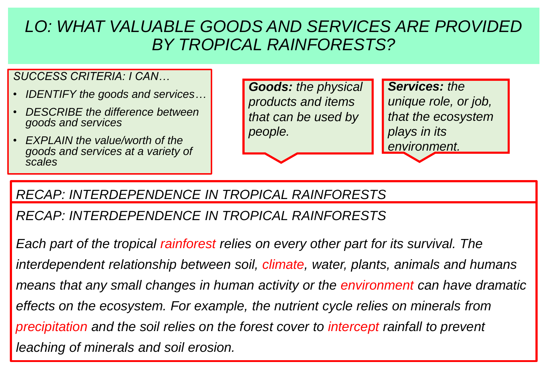#### *SUCCESS CRITERIA: I CAN…*

- *IDENTIFY the goods and services…*
- *DESCRIBE the difference between goods and services*
- *EXPLAIN the value/worth of the goods and services at a variety of scales*

*Goods: the physical products and items that can be used by people.*

*Services: the unique role, or job, that the ecosystem plays in its environment.*

### *RECAP: INTERDEPENDENCE IN TROPICAL RAINFORESTS*

*Each part of the tropical r\_\_\_\_\_\_\_\_\_\_\_ relies on every other part for its survival. The RECAP: INTERDEPENDENCE IN TROPICAL RAINFORESTS*

Each part of the tropical rainforest relies on every other part for its survival. The *interdependent relationship between soil, climate, water, plants, animals and humans means that any small changes in human activity or the environment can have dramatic* effects on the ecosystem. For example, the nutrient cycle relies on minerals from *precipitation and the soil relies on the forest cover to intercept rainfall to prevent leaching of minerals and soil erosion.*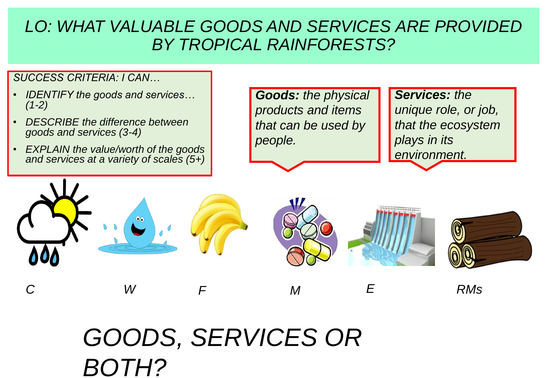*SUCCESS CRITERIA: I CAN…*

- *IDENTIFY the goods and services… (1-2)*
- *DESCRIBE the difference between goods and services (3-4)*
- *EXPLAIN the value/worth of the goods and services at a variety of scales (5+)*

*Goods: the physical products and items that can be used by people.*

**Services: the** *unique role, or job, that the ecosystem plays in its environment.*



# *GOODS, SERVICES OR BOTH?*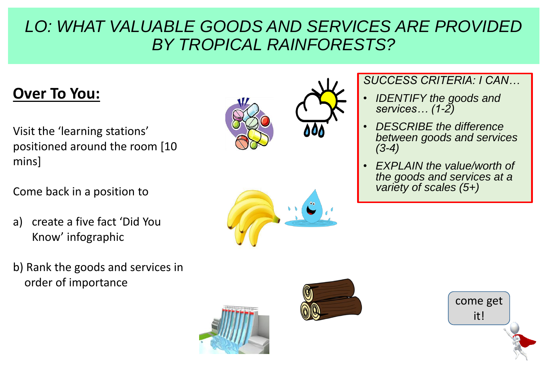# **Over To You:**

- Visit the 'learning stations' positioned around the room [10 mins]
- Come back in a position to
- a) create a five fact 'Did You Know' infographic
- b) Rank the goods and services in order of importance









• *DESCRIBE the difference between goods and services (3-4)*

*SUCCESS CRITERIA: I CAN…*

• *EXPLAIN the value/worth of the goods and services at a variety of scales (5+)*

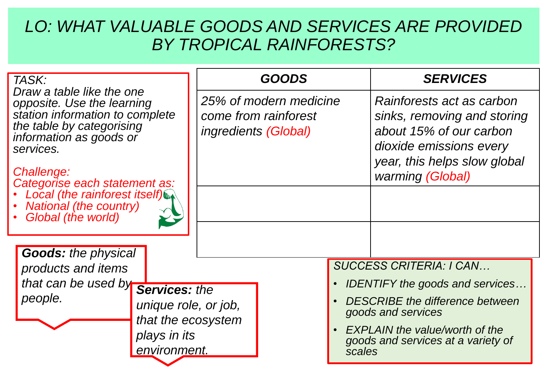| TASK:                                                                                                                                                                                                          | <b>GOODS</b>                                                                  |                                                              | <b>SERVICES</b>                                                                                                                                                    |
|----------------------------------------------------------------------------------------------------------------------------------------------------------------------------------------------------------------|-------------------------------------------------------------------------------|--------------------------------------------------------------|--------------------------------------------------------------------------------------------------------------------------------------------------------------------|
| Draw a table like the one<br>opposite. Use the learning<br>station information to complete<br>the table by categorising<br>information as goods or<br>services.<br>Challenge:<br>Categorise each statement as: | 25% of modern medicine<br>come from rainforest<br><i>ingredients (Global)</i> |                                                              | Rainforests act as carbon<br>sinks, removing and storing<br>about 15% of our carbon<br>dioxide emissions every<br>year, this helps slow global<br>warming (Global) |
| Local (the rainforest itself)<br><b>National (the country)</b><br>Global (the world)                                                                                                                           |                                                                               |                                                              |                                                                                                                                                                    |
| <b>Goods: the physical</b>                                                                                                                                                                                     |                                                                               |                                                              |                                                                                                                                                                    |
| products and items<br>that can be used by <b>Services:</b> the<br>people.<br>unique role, or job,<br>that the ecosystem                                                                                        |                                                                               |                                                              | <b>SUCCESS CRITERIA: I CAN</b>                                                                                                                                     |
|                                                                                                                                                                                                                |                                                                               |                                                              | <b>IDENTIFY the goods and services</b>                                                                                                                             |
|                                                                                                                                                                                                                |                                                                               | <b>DESCRIBE</b> the difference between<br>goods and services |                                                                                                                                                                    |
| plays in its<br>environment.                                                                                                                                                                                   |                                                                               |                                                              | <b>EXPLAIN the value/worth of the</b><br>goods and services at a variety of<br>scales                                                                              |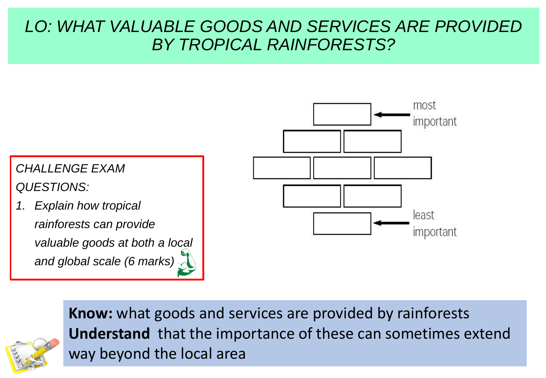



**Know:** what goods and services are provided by rainforests **Understand** that the importance of these can sometimes extend way beyond the local area